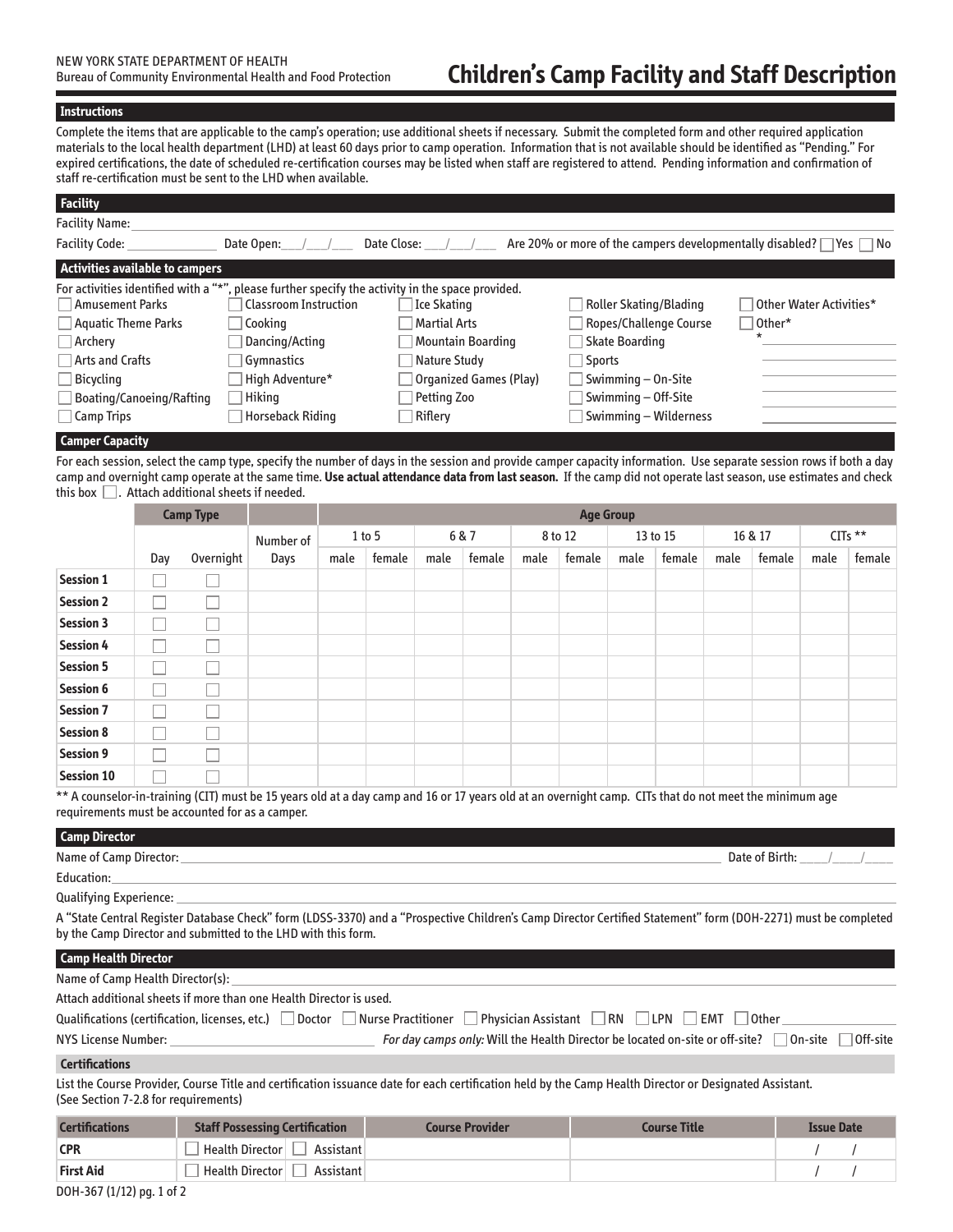# **Children's Camp Facility and Staff Description**

# **Instructions**

Complete the items that are applicable to the camp's operation; use additional sheets if necessary. Submit the completed form and other required application materials to the local health department (LHD) at least 60 days prior to camp operation. Information that is not available should be identified as "Pending." For expired certifications, the date of scheduled re-certification courses may be listed when staff are registered to attend. Pending information and confirmation of staff re-certification must be sent to the LHD when available.

| <b>Facility</b>                                                   |                                                              |                              |                                                          |                         |  |  |  |
|-------------------------------------------------------------------|--------------------------------------------------------------|------------------------------|----------------------------------------------------------|-------------------------|--|--|--|
| <b>Facility Name:</b>                                             |                                                              |                              |                                                          |                         |  |  |  |
| <b>Facility Code:</b>                                             | Date Open:                                                   | Date Close:                  | Are 20% or more of the campers developmentally disabled? | ⊟ No<br>Yes             |  |  |  |
|                                                                   | <b>Activities available to campers</b>                       |                              |                                                          |                         |  |  |  |
| For activities identified with a "*".                             | , please further specify the activity in the space provided. |                              |                                                          |                         |  |  |  |
| Amusement Parks                                                   | <b>Classroom Instruction</b>                                 | Ice Skating                  | <b>Roller Skating/Blading</b>                            | Other Water Activities* |  |  |  |
| Aquatic Theme Parks                                               | Cookina                                                      | Martial Arts                 | Ropes/Challenge Course                                   | $\Box$ Other*           |  |  |  |
| $\exists$ Archery                                                 | Dancing/Acting                                               | Mountain Boarding            | <b>Skate Boarding</b>                                    |                         |  |  |  |
| $\exists$ Arts and Crafts                                         | Gymnastics                                                   | Nature Study                 | Sports                                                   |                         |  |  |  |
| Bicycling                                                         | High Adventure*                                              | Organized Games (Play)       | Swimming $-$ On-Site                                     |                         |  |  |  |
| <b>Boating/Canoeing/Rafting</b>                                   | Hiking                                                       | Petting Zoo                  | Swimming - Off-Site                                      |                         |  |  |  |
| Camp Trips                                                        | <b>Horseback Riding</b>                                      | $\sqrt{\phantom{a}}$ Riflery | Swimming - Wilderness                                    |                         |  |  |  |
| $\mathcal{L}$ and a subsequently defined the set of $\mathcal{L}$ |                                                              |                              |                                                          |                         |  |  |  |

# **Camper Capacity**

For each session, select the camp type, specify the number of days in the session and provide camper capacity information. Use separate session rows if both a day camp and overnight camp operate at the same time. **Use actual attendance data from last season.** If the camp did not operate last season, use estimates and check this box  $\Box$ . Attach additional sheets if needed.

|                   |     | <b>Camp Type</b> |           | <b>Age Group</b> |          |      |        |      |         |      |          |      |         |      |         |
|-------------------|-----|------------------|-----------|------------------|----------|------|--------|------|---------|------|----------|------|---------|------|---------|
|                   |     |                  | Number of |                  | $1$ to 5 |      | 6 & 7  |      | 8 to 12 |      | 13 to 15 |      | 16 & 17 |      | CITs ** |
|                   | Day | Overnight        | Days      | male             | female   | male | female | male | female  | male | female   | male | female  | male | female  |
| <b>Session 1</b>  |     |                  |           |                  |          |      |        |      |         |      |          |      |         |      |         |
| <b>Session 2</b>  |     |                  |           |                  |          |      |        |      |         |      |          |      |         |      |         |
| <b>Session 3</b>  |     |                  |           |                  |          |      |        |      |         |      |          |      |         |      |         |
| <b>Session 4</b>  |     |                  |           |                  |          |      |        |      |         |      |          |      |         |      |         |
| <b>Session 5</b>  |     |                  |           |                  |          |      |        |      |         |      |          |      |         |      |         |
| <b>Session 6</b>  |     |                  |           |                  |          |      |        |      |         |      |          |      |         |      |         |
| <b>Session 7</b>  |     |                  |           |                  |          |      |        |      |         |      |          |      |         |      |         |
| <b>Session 8</b>  |     |                  |           |                  |          |      |        |      |         |      |          |      |         |      |         |
| <b>Session 9</b>  |     |                  |           |                  |          |      |        |      |         |      |          |      |         |      |         |
| <b>Session 10</b> |     |                  |           |                  |          |      |        |      |         |      |          |      |         |      |         |

\*\* A counselor-in-training (CIT) must be 15 years old at a day camp and 16 or 17 years old at an overnight camp. CITs that do not meet the minimum age requirements must be accounted for as a camper.

#### **Camp Director**

| Name of<br>amp<br>l)ireci                               | Date<br>וורי . |
|---------------------------------------------------------|----------------|
| <sup>-</sup> ducation.                                  |                |
| $\sim$ $\sim$ $\sim$ $\sim$<br>$\overline{\phantom{0}}$ |                |

Qualifying Experience:

A "State Central Register Database Check" form (LDSS-3370) and a "Prospective Children's Camp Director Certified Statement" form (DOH-2271) must be completed by the Camp Director and submitted to the LHD with this form.

# **Camp Health Director**

| Name of Camp Health Director(s):                                   |                                                                                                                 |
|--------------------------------------------------------------------|-----------------------------------------------------------------------------------------------------------------|
| Attach additional sheets if more than one Health Director is used. |                                                                                                                 |
|                                                                    | Qualifications (certification, licenses, etc.) Doctor Nurse Practitioner Physician Assistant RN TLPN FLMT Other |
| NYS License Number:                                                | For day camps only: Will the Health Director be located on-site or off-site? $\Box$ On-site<br>$\Box$ Off-site  |
| <b>Certifications</b>                                              |                                                                                                                 |

#### **Certifications**

List the Course Provider, Course Title and certification issuance date for each certification held by the Camp Health Director or Designated Assistant. (See Section 7-2.8 for requirements)

| <b>Certifications</b>        | <b>Staff Possessing Certification</b> | <b>Course Provider</b> | <b>Course Title</b> | <b>Issue Date</b> |  |  |
|------------------------------|---------------------------------------|------------------------|---------------------|-------------------|--|--|
| <b>CPR</b>                   | <b>Health Director</b><br>Assistant   |                        |                     |                   |  |  |
| <b>First Aid</b>             | Health Director<br>Assistant          |                        |                     |                   |  |  |
| $B = 11.57$<br>$\sim$ $\sim$ |                                       |                        |                     |                   |  |  |